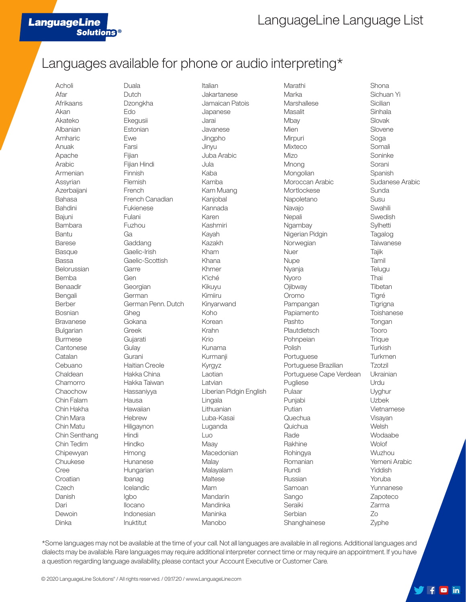## Languages available for phone or audio interpreting\*

Acholi Afar Afrikaans Akan Akateko Albanian Amharic Anuak Apache Arabic Armenian Assyrian Azerbaijani Bahasa Bahdini Bajuni Bambara Bantu Barese Basque Bassa Belorussian Bemba Benaadir Bengali Berber Bosnian Bravanese Bulgarian Burmese **Cantonese** Catalan Cebuano Chaldean Chamorro Chaochow Chin Falam Chin Hakha Chin Mara Chin Matu Chin Senthang Chin Tedim Chipewyan Chuukese **Cree Croatian Czech** Danish Dari Dewoin Dinka

**LanguageLine** 

**Solutions<sup>®</sup>** 

Duala Dutch Dzongkha Edo Ekegusii Estonian Ewe Farsi Fijian Fijian Hindi Finnish Flemish French French Canadian Fukienese Fulani Fuzhou Ga Gaddang Gaelic-Irish Gaelic-Scottish Garre Gen Georgian German German Penn. Dutch Gheg Gokana Greek Gujarati **Gulay Gurani** Haitian Creole Hakka China Hakka Taiwan Hassaniyya Hausa **Hawaiian Hebrew** Hiligaynon Hindi Hindko Hmong Hunanese Hungarian Ibanag Icelandic Igbo Ilocano Indonesian Inuktitut

Italian Jakartanese Jamaican Patois Japanese Jarai Javanese Jingpho Jinyu Juba Arabic Jula Kaba Kamba Kam Muang Kanjobal Kannada Karen Kashmiri Kayah Kazakh Kham Khana Khmer K'iché Kikuyu Kimiiru Kinyarwand Koho Korean Krahn Krio Kunama Kurmanji Kyrgyz Laotian Latvian Liberian Pidgin English Lingala Lithuanian Luba-Kasai Luganda Luo Maay **Macedonian Malav** Malayalam Maltese Mam Mandarin Mandinka Maninka Manobo

Marathi Marka **Marshallese Masalit Mbay** Mien Mirpuri Mixteco Mizo Mnong **Mongolian** Moroccan Arabic **Mortlockese** Napoletano Navajo **Nepali** Ngambay Nigerian Pidgin Norwegian Nuer Nupe Nyanja Nyoro **Ojibway** Oromo Pampangan Papiamento Pashto Plautdietsch Pohnpeian Polish Portuguese Portuguese Brazilian Portuguese Cape Verdean Pugliese Pulaar Punjabi Putian **Quechua Quichua** Rade Rakhine Rohingya Romanian Rundi Russian Samoan Sango Seraiki Serbian Shanghainese

Shona Sichuan Yi Sicilian **Sinhala** Slovak Slovene Soga Somali Soninke Sorani Spanish Sudanese Arabic Sunda Susu **Swahili** Swedish **Sylhetti** Tagalog **Taiwanese Tajik** Tamil **Telugu** Thai Tibetan Tigré **Tigrigna** Toishanese Tongan Tooro **Trique Turkish Turkmen Tzotzil** Ukrainian Urdu Uyghur Uzbek Vietnamese Visayan **Welsh** Wodaabe **Wolof** Wuzhou Yemeni Arabic Yiddish Yoruba Yunnanese Zapoteco Zarma Zo Zyphe

 $\sqrt{6}$  fo in

\*Some languages may not be available at the time of your call. Not all languages are available in all regions. Additional languages and dialects may be available. Rare languages may require additional interpreter connect time or may require an appointment. If you have a question regarding language availability, please contact your Account Executive or Customer Care.